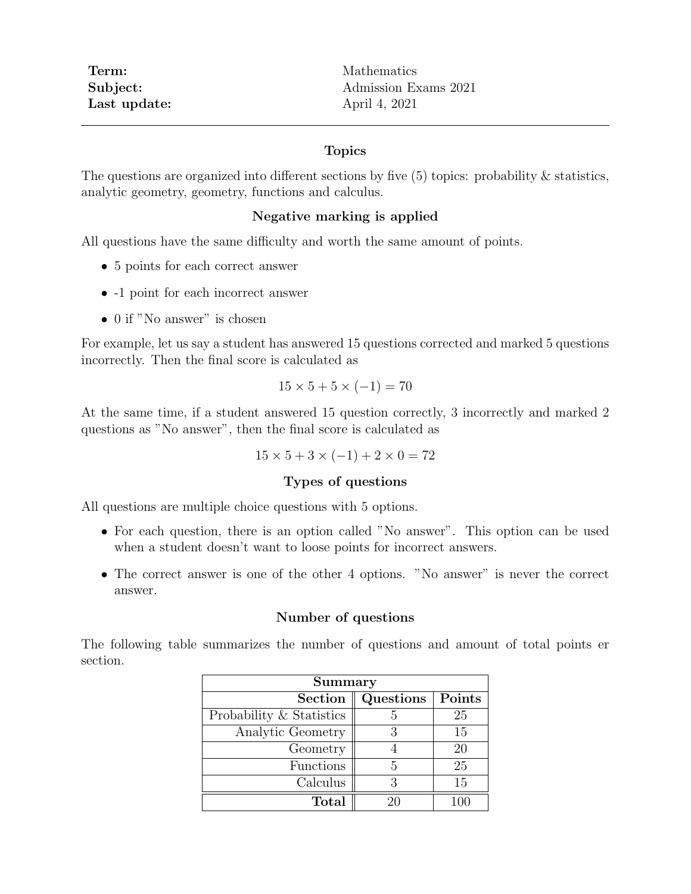Term: Mathematics Last update: April 4, 2021

Subject: Admission Exams 2021

## Topics

The questions are organized into different sections by five (5) topics: probability & statistics, analytic geometry, geometry, functions and calculus.

## Negative marking is applied

All questions have the same difficulty and worth the same amount of points.

- 5 points for each correct answer
- -1 point for each incorrect answer
- 0 if "No answer" is chosen

For example, let us say a student has answered 15 questions corrected and marked 5 questions incorrectly. Then the final score is calculated as

$$
15 \times 5 + 5 \times (-1) = 70
$$

At the same time, if a student answered 15 question correctly, 3 incorrectly and marked 2 questions as "No answer", then the final score is calculated as

 $15 \times 5 + 3 \times (-1) + 2 \times 0 = 72$ 

#### Types of questions

All questions are multiple choice questions with 5 options.

- For each question, there is an option called "No answer". This option can be used when a student doesn't want to loose points for incorrect answers.
- The correct answer is one of the other 4 options. "No answer" is never the correct answer.

#### Number of questions

The following table summarizes the number of questions and amount of total points er section.

| Summary                  |           |        |
|--------------------------|-----------|--------|
| <b>Section</b>           | Questions | Points |
| Probability & Statistics |           | 25     |
| Analytic Geometry        |           | 15     |
| Geometry                 |           | 20     |
| Functions                | 5         | 25     |
| Calculus                 | 3         | 15     |
| Total                    | 20.       |        |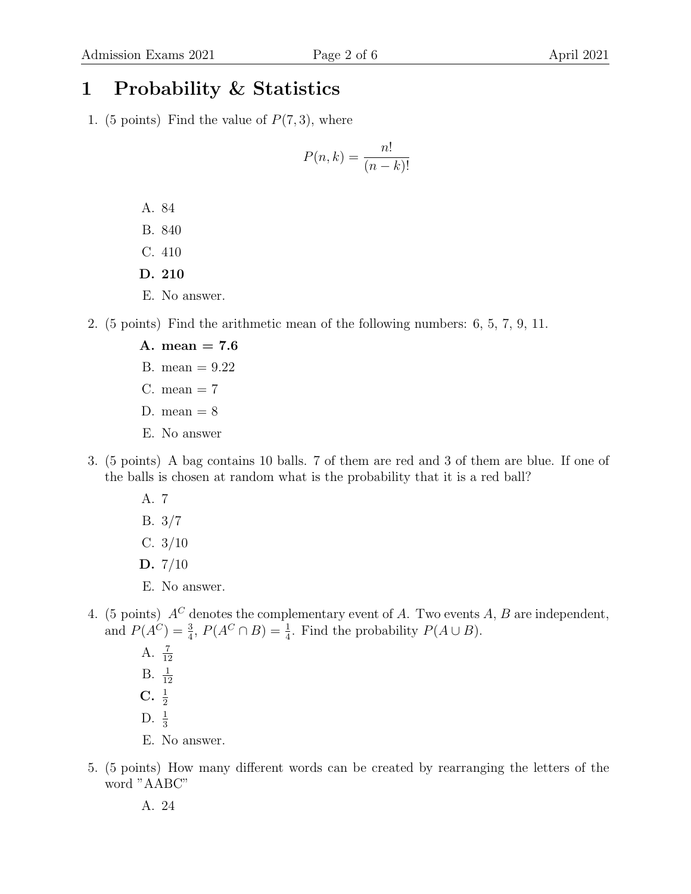## 1 Probability & Statistics

1. (5 points) Find the value of  $P(7,3)$ , where

$$
P(n,k) = \frac{n!}{(n-k)!}
$$

- A. 84
- B. 840
- C. 410
- D. 210
- E. No answer.
- 2. (5 points) Find the arithmetic mean of the following numbers: 6, 5, 7, 9, 11.
	- A. mean  $= 7.6$
	- B. mean  $= 9.22$
	- C. mean  $= 7$
	- D. mean  $= 8$
	- E. No answer
- 3. (5 points) A bag contains 10 balls. 7 of them are red and 3 of them are blue. If one of the balls is chosen at random what is the probability that it is a red ball?
	- A. 7 B. 3/7 C. 3/10 D.  $7/10$ E. No answer.
- 4. (5 points)  $A^C$  denotes the complementary event of A. Two events A, B are independent, and  $P(A^C) = \frac{3}{4}$ ,  $P(A^C \cap B) = \frac{1}{4}$ . Find the probability  $P(A \cup B)$ .
	- A.  $\frac{7}{12}$  $B. \frac{1}{12}$  $\mathbf{C.}$   $\frac{1}{2}$ D.  $\frac{1}{3}$ E. No answer.
- 5. (5 points) How many different words can be created by rearranging the letters of the word "AABC"
	- A. 24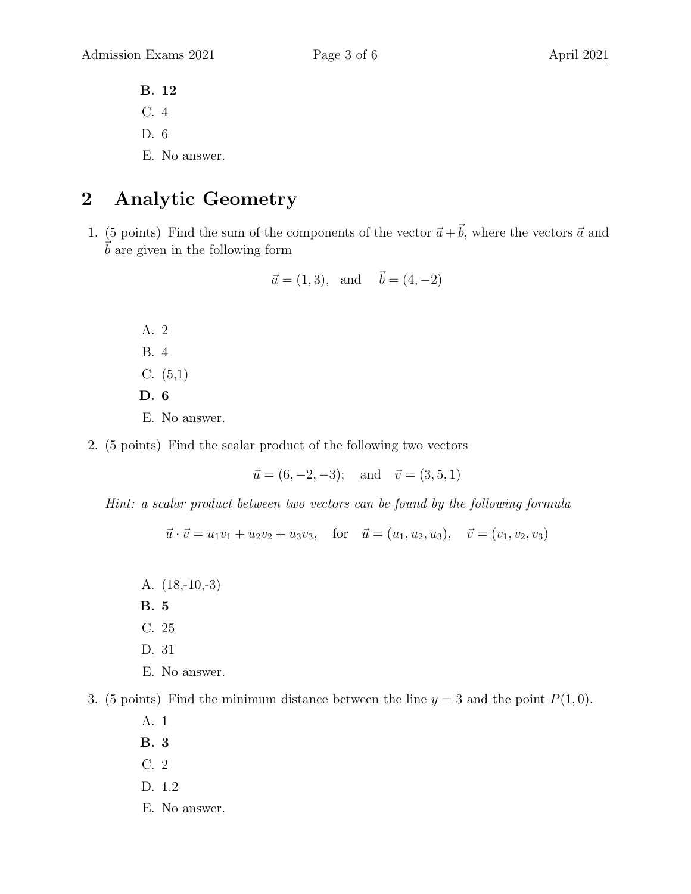B. 12 C. 4 D. 6 E. No answer.

# 2 Analytic Geometry

1. (5 points) Find the sum of the components of the vector  $\vec{a} + \vec{b}$ , where the vectors  $\vec{a}$  and  $\vec{b}$  are given in the following form

$$
\vec{a} = (1,3)
$$
, and  $\vec{b} = (4,-2)$ 

A. 2 B. 4 C. (5,1) D. 6

- E. No answer.
- 2. (5 points) Find the scalar product of the following two vectors

 $\vec{u} = (6, -2, -3);$  and  $\vec{v} = (3, 5, 1)$ 

Hint: a scalar product between two vectors can be found by the following formula

 $\vec{u} \cdot \vec{v} = u_1v_1 + u_2v_2 + u_3v_3$ , for  $\vec{u} = (u_1, u_2, u_3), \quad \vec{v} = (v_1, v_2, v_3)$ 

- A. (18,-10,-3) B. 5 C. 25 D. 31
- E. No answer.

3. (5 points) Find the minimum distance between the line  $y = 3$  and the point  $P(1, 0)$ .

- A. 1
- B. 3
- C. 2
- D. 1.2
- E. No answer.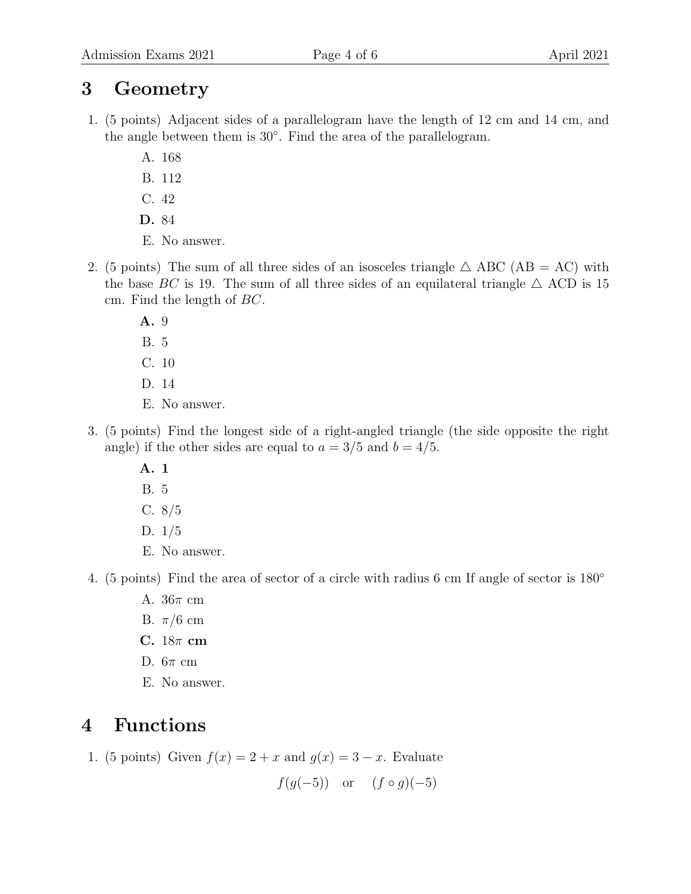## 3 Geometry

- 1. (5 points) Adjacent sides of a parallelogram have the length of 12 cm and 14 cm, and the angle between them is 30◦ . Find the area of the parallelogram.
	- A. 168
	- B. 112
	- C. 42
	- D. 84
	- E. No answer.
- 2. (5 points) The sum of all three sides of an isosceles triangle  $\triangle$  ABC (AB = AC) with the base BC is 19. The sum of all three sides of an equilateral triangle  $\triangle$  ACD is 15 cm. Find the length of BC.
	- A. 9
	- B. 5
	- C. 10
	- D. 14
	- E. No answer.
- 3. (5 points) Find the longest side of a right-angled triangle (the side opposite the right angle) if the other sides are equal to  $a = 3/5$  and  $b = 4/5$ .
	- A. 1
	- B. 5
	- C. 8/5
	- D. 1/5
	- E. No answer.
- 4. (5 points) Find the area of sector of a circle with radius 6 cm If angle of sector is 180◦
	- A.  $36\pi$  cm
	- B.  $\pi/6$  cm
	- C.  $18\pi$  cm
	- D.  $6\pi$  cm
	- E. No answer.

# 4 Functions

1. (5 points) Given  $f(x) = 2 + x$  and  $g(x) = 3 - x$ . Evaluate

$$
f(g(-5)) \quad \text{or} \quad (f \circ g)(-5)
$$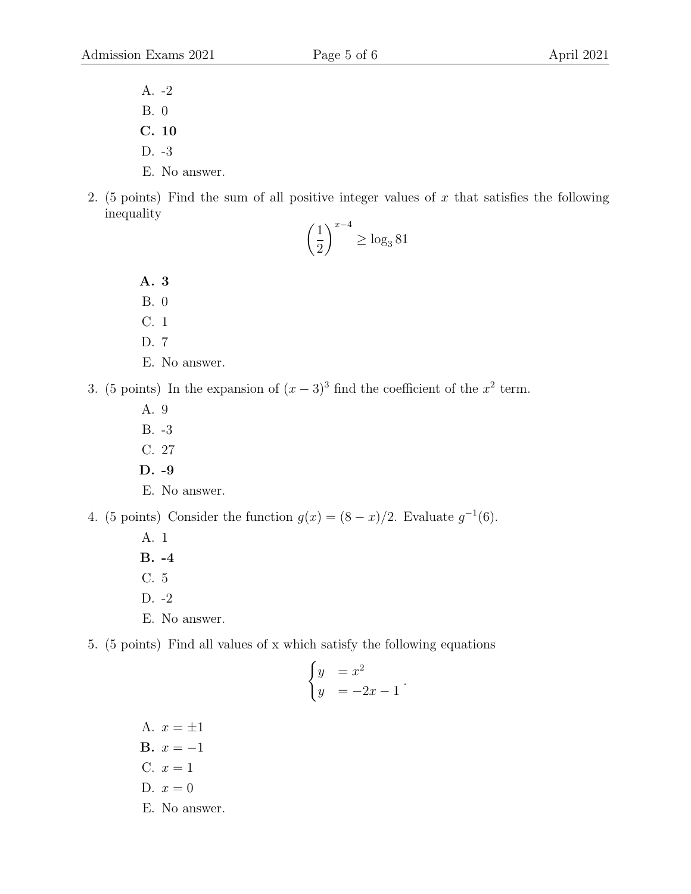- A. -2 B. 0
- C. 10
- D. -3
- E. No answer.
- 2. (5 points) Find the sum of all positive integer values of  $x$  that satisfies the following inequality

$$
\left(\frac{1}{2}\right)^{x-4} \ge \log_3 81
$$

- A. 3
- B. 0
- C. 1
- D. 7
- E. No answer.
- 3. (5 points) In the expansion of  $(x-3)^3$  find the coefficient of the  $x^2$  term.
	- A. 9
	- B. -3
	- C. 27
	- D. -9
	- E. No answer.

4. (5 points) Consider the function  $g(x) = (8 - x)/2$ . Evaluate  $g^{-1}(6)$ .

A. 1 B. -4 C. 5 D. -2 E. No answer.

5. (5 points) Find all values of x which satisfy the following equations

$$
\begin{cases} y = x^2 \\ y = -2x - 1 \end{cases}
$$

.

A.  $x = \pm 1$ **B.**  $x = -1$ C.  $x=1$ D.  $x = 0$ E. No answer.